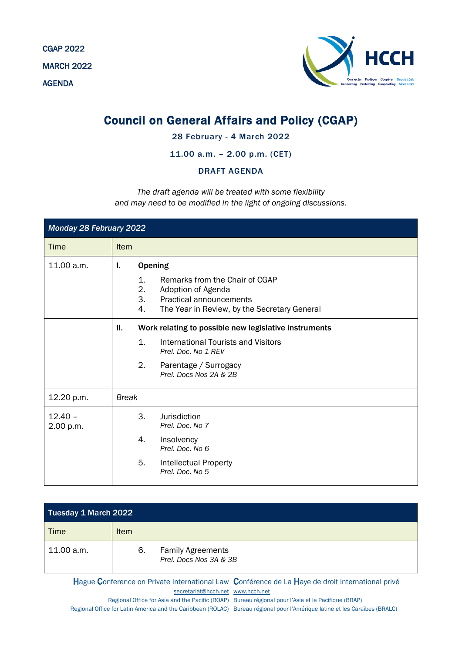CGAP 2022 MARCH 2022 AGENDA



## Council on General Affairs and Policy (CGAP)

## 28 February - 4 March 2022

## 11.00 a.m. – 2.00 p.m. (CET)

## DRAFT AGENDA

*The draft agenda will be treated with some flexibility and may need to be modified in the light of ongoing discussions.*

| Monday 28 February 2022 |                                                                                                                                                                                          |  |  |  |  |
|-------------------------|------------------------------------------------------------------------------------------------------------------------------------------------------------------------------------------|--|--|--|--|
| Time                    | Item                                                                                                                                                                                     |  |  |  |  |
| 11.00 a.m.              | <b>Opening</b><br>L.<br>1.<br>Remarks from the Chair of CGAP<br>2.<br>Adoption of Agenda<br>3.<br><b>Practical announcements</b><br>4.<br>The Year in Review, by the Secretary General   |  |  |  |  |
|                         | Ш.<br>Work relating to possible new legislative instruments<br>1.<br>International Tourists and Visitors<br>Prel. Doc. No 1 REV<br>2.<br>Parentage / Surrogacy<br>Prel. Docs Nos 2A & 2B |  |  |  |  |
| 12.20 p.m.              | <b>Break</b>                                                                                                                                                                             |  |  |  |  |
| $12.40 -$<br>2.00 p.m.  | 3.<br>Jurisdiction<br>Prel. Doc. No 7<br>4.<br>Insolvency<br>Prel. Doc. No 6<br>5.<br>Intellectual Property<br>Prel. Doc. No 5                                                           |  |  |  |  |

| <b>Tuesday 1 March 2022</b> |             |                                                    |
|-----------------------------|-------------|----------------------------------------------------|
| Time                        | <b>Item</b> |                                                    |
| 11.00 a.m.                  | 6.          | <b>Family Agreements</b><br>Prel. Docs Nos 3A & 3B |

Hague Conference on Private International Law Conférence de La Haye de droit international privé [secretariat@hcch.net](mailto:secretariat@hcch.net) [www.hcch.net](http://www.hcch.net/)

Regional Office for Asia and the Pacific (ROAP) Bureau régional pour l'Asie et le Pacifique (BRAP) Regional Office for Latin America and the Caribbean (ROLAC) Bureau régional pour l'Amérique latine et les Caraïbes (BRALC)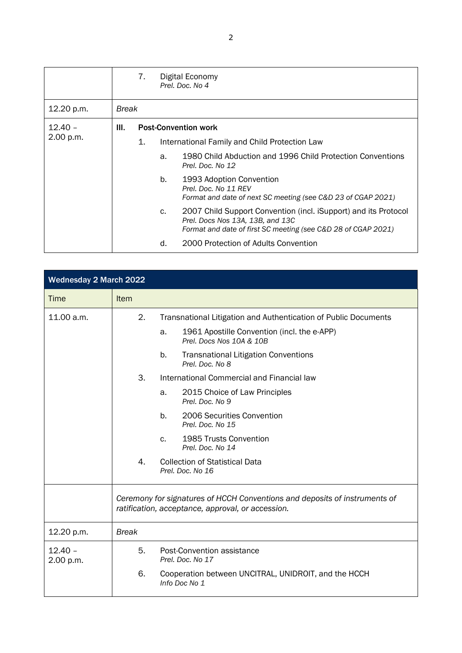|                        |              | 7. |                             | Digital Economy<br>Prel. Doc. No 4                                                                                                                                   |  |
|------------------------|--------------|----|-----------------------------|----------------------------------------------------------------------------------------------------------------------------------------------------------------------|--|
| 12.20 p.m.             | <b>Break</b> |    |                             |                                                                                                                                                                      |  |
| $12.40 -$<br>2.00 p.m. | III.         |    | <b>Post-Convention work</b> |                                                                                                                                                                      |  |
|                        |              | 1. |                             | International Family and Child Protection Law                                                                                                                        |  |
|                        |              |    | a.                          | 1980 Child Abduction and 1996 Child Protection Conventions<br>Prel. Doc. No 12                                                                                       |  |
|                        |              |    | b.                          | 1993 Adoption Convention<br>Prel. Doc. No 11 REV<br>Format and date of next SC meeting (see C&D 23 of CGAP 2021)                                                     |  |
|                        |              |    | C.                          | 2007 Child Support Convention (incl. iSupport) and its Protocol<br>Prel. Docs Nos 13A, 13B, and 13C<br>Format and date of first SC meeting (see C&D 28 of CGAP 2021) |  |
|                        |              |    | d.                          | 2000 Protection of Adults Convention                                                                                                                                 |  |

| <b>Wednesday 2 March 2022</b> |              |                                                                                                                                 |
|-------------------------------|--------------|---------------------------------------------------------------------------------------------------------------------------------|
| <b>Time</b>                   | <b>Item</b>  |                                                                                                                                 |
| 11.00 a.m.                    | 2.           | Transnational Litigation and Authentication of Public Documents                                                                 |
|                               |              | 1961 Apostille Convention (incl. the e-APP)<br>a.<br>Prel. Docs Nos 10A & 10B                                                   |
|                               |              | b.<br><b>Transnational Litigation Conventions</b><br>Prel. Doc. No 8                                                            |
|                               | 3.           | International Commercial and Financial law                                                                                      |
|                               |              | 2015 Choice of Law Principles<br>a.<br>Prel. Doc. No 9                                                                          |
|                               |              | b.<br>2006 Securities Convention<br>Prel. Doc. No 15                                                                            |
|                               |              | 1985 Trusts Convention<br>C.<br>Prel. Doc. No 14                                                                                |
|                               | 4.           | <b>Collection of Statistical Data</b><br>Prel. Doc. No 16                                                                       |
|                               |              | Ceremony for signatures of HCCH Conventions and deposits of instruments of<br>ratification, acceptance, approval, or accession. |
| 12.20 p.m.                    | <b>Break</b> |                                                                                                                                 |
| $12.40 -$<br>2.00 p.m.        | 5.           | Post-Convention assistance<br>Prel. Doc. No 17                                                                                  |
|                               | 6.           | Cooperation between UNCITRAL, UNIDROIT, and the HCCH<br>Info Doc No 1                                                           |